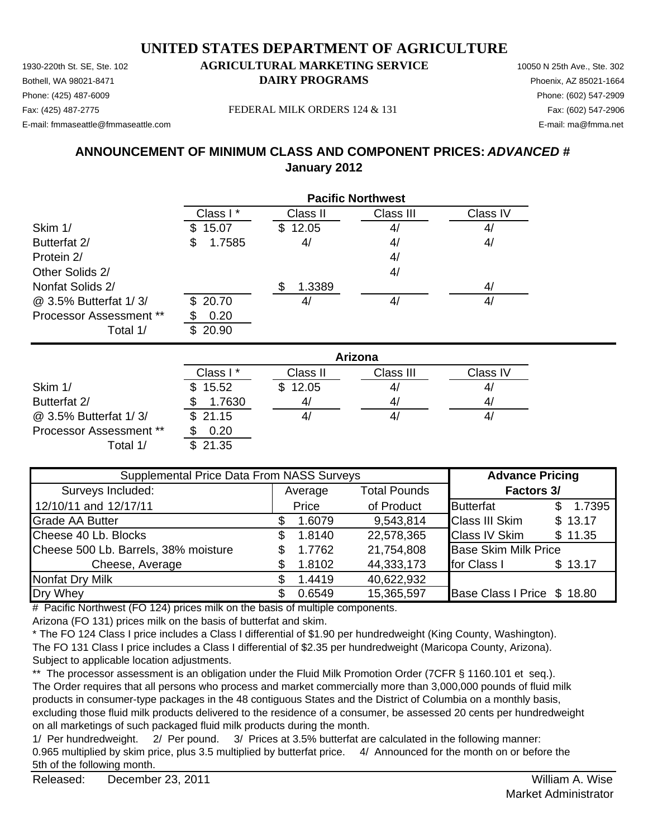Bothell, WA 98021-8471 **DAIRY PROGRAMS** Phoenix, AZ 85021-1664 E-mail: fmmaseattle@fmmaseattle.com E-mail: ma@fmma.net

## Phone: (425) 487-6009 Phone: (602) 547-2909

Fax: (425) 487-2775 Fax: (602) 547-2906 FEDERAL MILK ORDERS 124 & 131

## **ANNOUNCEMENT OF MINIMUM CLASS AND COMPONENT PRICES:** *ADVANCED #* **January 2012**

|                                | <b>Pacific Northwest</b> |              |           |          |  |
|--------------------------------|--------------------------|--------------|-----------|----------|--|
|                                | Class I*                 | Class II     | Class III | Class IV |  |
| Skim 1/                        | 15.07<br>\$.             | 12.05<br>\$. | 4/        | 4/       |  |
| Butterfat 2/                   | 1.7585<br>\$             | 4/           | 4/        | 4/       |  |
| Protein 2/                     |                          |              | 4/        |          |  |
| Other Solids 2/                |                          |              | 4/        |          |  |
| Nonfat Solids 2/               |                          | 1.3389       |           | 4/       |  |
| @ 3.5% Butterfat 1/3/          | \$20.70                  | 4,           | 4/        | 4,       |  |
| <b>Processor Assessment **</b> | 0.20                     |              |           |          |  |
| Total 1/                       | 20.90<br>\$.             |              |           |          |  |

|                                | Arizona  |          |           |          |  |
|--------------------------------|----------|----------|-----------|----------|--|
|                                | Class I* | Class II | Class III | Class IV |  |
| Skim 1/                        | \$15.52  | \$12.05  | 4/        | 4,       |  |
| Butterfat 2/                   | 1.7630   |          | 4/        | 4,       |  |
| @ 3.5% Butterfat 1/3/          | \$21.15  |          | 4,        | 4,       |  |
| <b>Processor Assessment **</b> | 0.20     |          |           |          |  |
| Total 1/                       | \$21.35  |          |           |          |  |

| Supplemental Price Data From NASS Surveys |                                |        |            | <b>Advance Pricing</b>      |         |  |  |  |                   |
|-------------------------------------------|--------------------------------|--------|------------|-----------------------------|---------|--|--|--|-------------------|
| Surveys Included:                         | <b>Total Pounds</b><br>Average |        |            |                             |         |  |  |  | <b>Factors 3/</b> |
| 12/10/11 and 12/17/11                     |                                | Price  | of Product | <b>Butterfat</b>            | 1.7395  |  |  |  |                   |
| <b>Grade AA Butter</b>                    |                                | 1.6079 | 9,543,814  | <b>Class III Skim</b>       | \$13.17 |  |  |  |                   |
| Cheese 40 Lb. Blocks                      | \$.                            | 1.8140 | 22,578,365 | <b>Class IV Skim</b>        | \$11.35 |  |  |  |                   |
| Cheese 500 Lb. Barrels, 38% moisture      | \$.                            | 1.7762 | 21,754,808 | <b>Base Skim Milk Price</b> |         |  |  |  |                   |
| Cheese, Average                           |                                | 1.8102 | 44,333,173 | for Class I                 | \$13.17 |  |  |  |                   |
| Nonfat Dry Milk                           | £.                             | 1.4419 | 40,622,932 |                             |         |  |  |  |                   |
| Dry Whey                                  | S.                             | 0.6549 | 15,365,597 | Base Class I Price \$ 18.80 |         |  |  |  |                   |

# Pacific Northwest (FO 124) prices milk on the basis of multiple components.

Arizona (FO 131) prices milk on the basis of butterfat and skim.

\* The FO 124 Class I price includes a Class I differential of \$1.90 per hundredweight (King County, Washington). The FO 131 Class I price includes a Class I differential of \$2.35 per hundredweight (Maricopa County, Arizona). Subject to applicable location adjustments.

\*\* The processor assessment is an obligation under the Fluid Milk Promotion Order (7CFR § 1160.101 et seq.). The Order requires that all persons who process and market commercially more than 3,000,000 pounds of fluid milk products in consumer-type packages in the 48 contiguous States and the District of Columbia on a monthly basis, excluding those fluid milk products delivered to the residence of a consumer, be assessed 20 cents per hundredweight on all marketings of such packaged fluid milk products during the month.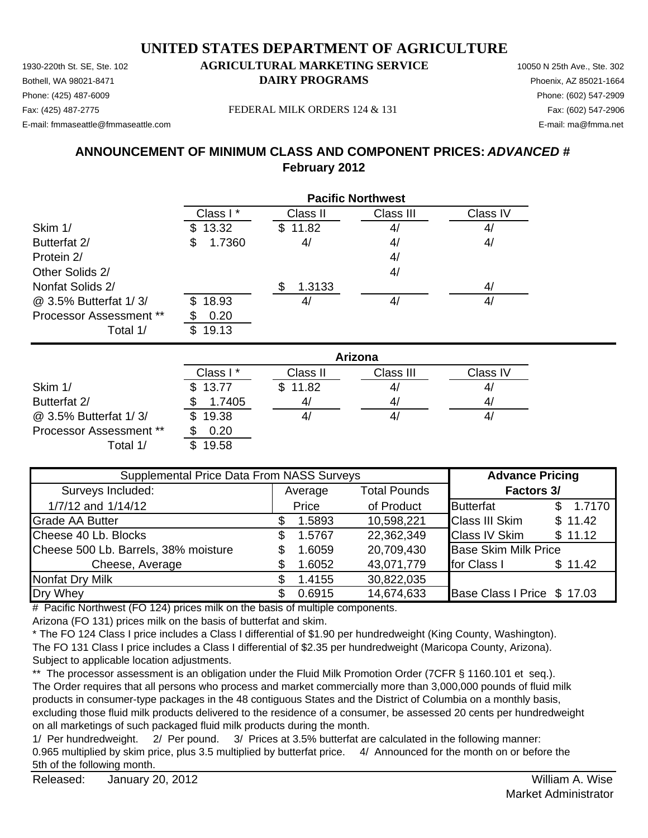Bothell, WA 98021-8471 **DAIRY PROGRAMS** Phoenix, AZ 85021-1664 Phone: (425) 487-6009 Phone: (602) 547-2909 Fax: (425) 487-2775 Fax: (602) 547-2906 FEDERAL MILK ORDERS 124 & 131

E-mail: fmmaseattle@fmmaseattle.com E-mail: ma@fmma.net

## **ANNOUNCEMENT OF MINIMUM CLASS AND COMPONENT PRICES:** *ADVANCED #* **February 2012**

|                         | <b>Pacific Northwest</b> |             |           |          |  |
|-------------------------|--------------------------|-------------|-----------|----------|--|
|                         | Class I*                 | Class II    | Class III | Class IV |  |
| Skim 1/                 | 13.32<br>SS.             | 11.82<br>S. | 4/        | 4/       |  |
| Butterfat 2/            | 1.7360<br>\$             | 4/          | 4/        | 4/       |  |
| Protein 2/              |                          |             | 4/        |          |  |
| Other Solids 2/         |                          |             | 4/        |          |  |
| Nonfat Solids 2/        |                          | 1.3133      |           | 4/       |  |
| @ 3.5% Butterfat 1/3/   | 18.93<br>SS.             | 4           | 4/        | 41       |  |
| Processor Assessment ** | 0.20                     |             |           |          |  |
| Total 1/                | 19.13<br>\$.             |             |           |          |  |

|                                | Arizona     |          |           |                |  |  |
|--------------------------------|-------------|----------|-----------|----------------|--|--|
|                                | Class I*    | Class II | Class III | Class IV       |  |  |
| Skim 1/                        | \$13.77     | \$11.82  | 4/        | 4,             |  |  |
| Butterfat 2/                   | 1.7405      | 41       | 4/        | 4 <sub>l</sub> |  |  |
| @ 3.5% Butterfat 1/3/          | 19.38<br>S. |          | 4,        | 4,             |  |  |
| <b>Processor Assessment **</b> | 0.20        |          |           |                |  |  |
| Total 1/                       | 19.58       |          |           |                |  |  |

| Supplemental Price Data From NASS Surveys |         |        |                     | <b>Advance Pricing</b>      |         |  |
|-------------------------------------------|---------|--------|---------------------|-----------------------------|---------|--|
| Surveys Included:                         | Average |        | <b>Total Pounds</b> | <b>Factors 3/</b>           |         |  |
| 1/7/12 and 1/14/12                        |         | Price  | of Product          | <b>Butterfat</b>            | 1.7170  |  |
| <b>Grade AA Butter</b>                    |         | 1.5893 | 10,598,221          | <b>Class III Skim</b>       | \$11.42 |  |
| Cheese 40 Lb. Blocks                      |         | 1.5767 | 22,362,349          | <b>Class IV Skim</b>        | \$11.12 |  |
| Cheese 500 Lb. Barrels, 38% moisture      |         | 1.6059 | 20,709,430          | <b>Base Skim Milk Price</b> |         |  |
| Cheese, Average                           |         | 1.6052 | 43,071,779          | for Class I                 | \$11.42 |  |
| <b>Nonfat Dry Milk</b>                    |         | 1.4155 | 30,822,035          |                             |         |  |
| Dry Whey                                  |         | 0.6915 | 14,674,633          | Base Class I Price \$ 17.03 |         |  |

# Pacific Northwest (FO 124) prices milk on the basis of multiple components.

Arizona (FO 131) prices milk on the basis of butterfat and skim.

\* The FO 124 Class I price includes a Class I differential of \$1.90 per hundredweight (King County, Washington). The FO 131 Class I price includes a Class I differential of \$2.35 per hundredweight (Maricopa County, Arizona). Subject to applicable location adjustments.

\*\* The processor assessment is an obligation under the Fluid Milk Promotion Order (7CFR § 1160.101 et seq.). The Order requires that all persons who process and market commercially more than 3,000,000 pounds of fluid milk products in consumer-type packages in the 48 contiguous States and the District of Columbia on a monthly basis, excluding those fluid milk products delivered to the residence of a consumer, be assessed 20 cents per hundredweight on all marketings of such packaged fluid milk products during the month.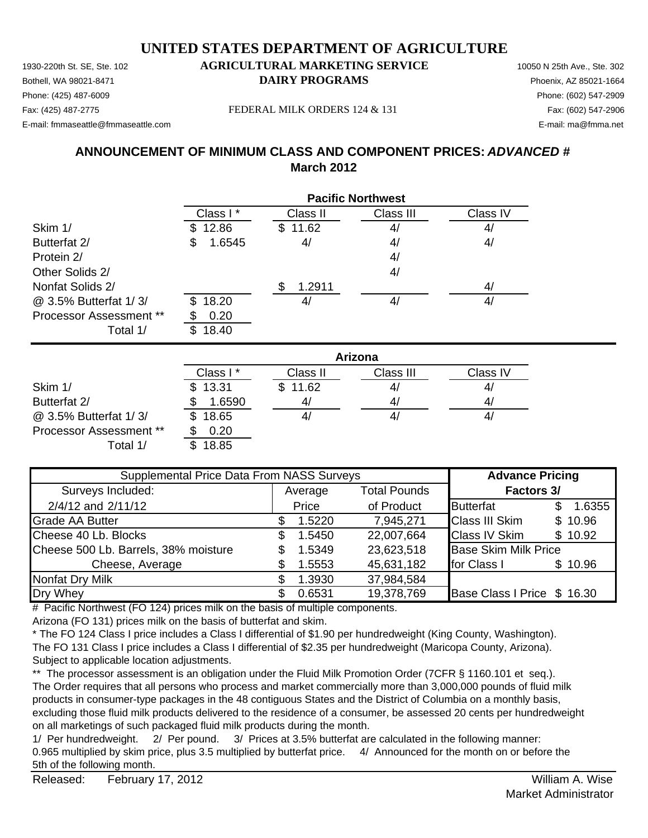Bothell, WA 98021-8471 **DAIRY PROGRAMS** Phoenix, AZ 85021-1664 Phone: (425) 487-6009 Phone: (602) 547-2909 Fax: (425) 487-2775 Fax: (602) 547-2906 FEDERAL MILK ORDERS 124 & 131

E-mail: fmmaseattle@fmmaseattle.com E-mail: ma@fmma.net

## **ANNOUNCEMENT OF MINIMUM CLASS AND COMPONENT PRICES:** *ADVANCED #* **March 2012**

|                         | <b>Pacific Northwest</b> |              |           |          |  |
|-------------------------|--------------------------|--------------|-----------|----------|--|
|                         | Class I*                 | Class II     | Class III | Class IV |  |
| Skim 1/                 | 12.86<br>S.              | 11.62<br>\$. | 4/        | 4/       |  |
| Butterfat 2/            | \$<br>1.6545             | 4/           | 4/        | 4/       |  |
| Protein 2/              |                          |              | 4/        |          |  |
| Other Solids 2/         |                          |              | 4/        |          |  |
| Nonfat Solids 2/        |                          | 1.2911       |           | 4/       |  |
| @ 3.5% Butterfat 1/3/   | 18.20<br>\$.             | 41           | 4/        | 4/       |  |
| Processor Assessment ** | 0.20                     |              |           |          |  |
| Total 1/                | 18.40<br>\$              |              |           |          |  |

|                         | Arizona      |          |           |                |  |
|-------------------------|--------------|----------|-----------|----------------|--|
|                         | Class I*     | Class II | Class III | Class IV       |  |
| Skim 1/                 | \$13.31      | \$11.62  | 41        | 4,             |  |
| Butterfat 2/            | 1.6590       | 41       | 41        | 4 <sub>l</sub> |  |
| @ 3.5% Butterfat 1/3/   | 18.65<br>\$. |          | 41        | 4,             |  |
| Processor Assessment ** | 0.20         |          |           |                |  |
| Total 1/                | 18.85        |          |           |                |  |

| Supplemental Price Data From NASS Surveys |                                |        |            | <b>Advance Pricing</b>      |  |         |
|-------------------------------------------|--------------------------------|--------|------------|-----------------------------|--|---------|
| Surveys Included:                         | <b>Total Pounds</b><br>Average |        |            | <b>Factors 3/</b>           |  |         |
| 2/4/12 and 2/11/12                        |                                | Price  | of Product | <b>Butterfat</b>            |  | 1.6355  |
| <b>Grade AA Butter</b>                    |                                | 1.5220 | 7,945,271  | <b>Class III Skim</b>       |  | \$10.96 |
| Cheese 40 Lb. Blocks                      | S.                             | 1.5450 | 22,007,664 | <b>Class IV Skim</b>        |  | \$10.92 |
| Cheese 500 Lb. Barrels, 38% moisture      | S                              | 1.5349 | 23,623,518 | <b>Base Skim Milk Price</b> |  |         |
| Cheese, Average                           |                                | 1.5553 | 45,631,182 | for Class I                 |  | \$10.96 |
| Nonfat Dry Milk                           |                                | 1.3930 | 37,984,584 |                             |  |         |
| Dry Whey                                  |                                | 0.6531 | 19,378,769 | Base Class I Price \$ 16.30 |  |         |

# Pacific Northwest (FO 124) prices milk on the basis of multiple components.

Arizona (FO 131) prices milk on the basis of butterfat and skim.

\* The FO 124 Class I price includes a Class I differential of \$1.90 per hundredweight (King County, Washington). The FO 131 Class I price includes a Class I differential of \$2.35 per hundredweight (Maricopa County, Arizona). Subject to applicable location adjustments.

\*\* The processor assessment is an obligation under the Fluid Milk Promotion Order (7CFR § 1160.101 et seq.). The Order requires that all persons who process and market commercially more than 3,000,000 pounds of fluid milk products in consumer-type packages in the 48 contiguous States and the District of Columbia on a monthly basis, excluding those fluid milk products delivered to the residence of a consumer, be assessed 20 cents per hundredweight on all marketings of such packaged fluid milk products during the month.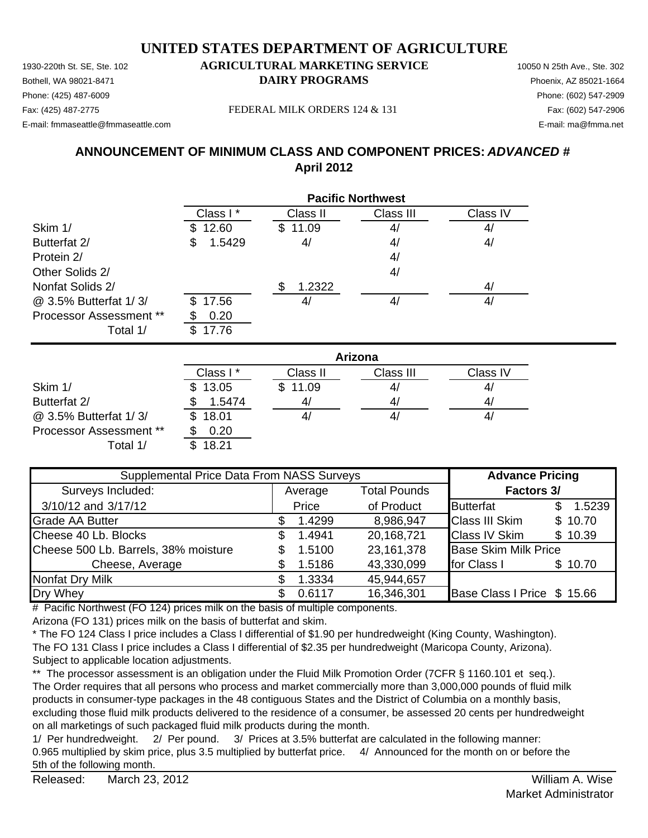Bothell, WA 98021-8471 **DAIRY PROGRAMS** Phoenix, AZ 85021-1664

## Phone: (425) 487-6009 Phone: (602) 547-2909

E-mail: fmmaseattle@fmmaseattle.com E-mail: ma@fmma.net

Fax: (425) 487-2775 Fax: (602) 547-2906 FEDERAL MILK ORDERS 124 & 131

## **ANNOUNCEMENT OF MINIMUM CLASS AND COMPONENT PRICES:** *ADVANCED #* **April 2012**

|                         | <b>Pacific Northwest</b> |              |           |          |  |
|-------------------------|--------------------------|--------------|-----------|----------|--|
|                         | Class I*                 | Class II     | Class III | Class IV |  |
| Skim 1/                 | 12.60                    | 11.09<br>\$. | 4/        | 4/       |  |
| Butterfat 2/            | 1.5429<br>\$             | 4/           | 4/        | 4/       |  |
| Protein 2/              |                          |              | 4/        |          |  |
| Other Solids 2/         |                          |              | 4/        |          |  |
| Nonfat Solids 2/        |                          | 1.2322<br>S  |           | 4/       |  |
| @ 3.5% Butterfat 1/3/   | \$17.56                  | 4            | 4/        | 4/       |  |
| Processor Assessment ** | 0.20                     |              |           |          |  |
| Total 1/                | 17.76<br>\$.             |              |           |          |  |

|                                | Arizona      |          |           |          |  |
|--------------------------------|--------------|----------|-----------|----------|--|
|                                | Class I*     | Class II | Class III | Class IV |  |
| Skim 1/                        | \$13.05      | \$11.09  | 4,        | 41       |  |
| Butterfat 2/                   | 1.5474       | 41       | 4,        | 4,       |  |
| @ 3.5% Butterfat 1/3/          | 18.01<br>SS. |          | 4,        | 4,       |  |
| <b>Processor Assessment **</b> | 0.20         |          |           |          |  |
| Total 1/                       | 18.21        |          |           |          |  |

| Supplemental Price Data From NASS Surveys |    |                                |            | <b>Advance Pricing</b>      |                   |         |
|-------------------------------------------|----|--------------------------------|------------|-----------------------------|-------------------|---------|
| Surveys Included:                         |    | <b>Total Pounds</b><br>Average |            |                             | <b>Factors 3/</b> |         |
| 3/10/12 and 3/17/12                       |    | Price                          | of Product | <b>Butterfat</b>            |                   | 1.5239  |
| <b>Grade AA Butter</b>                    |    | 1.4299                         | 8,986,947  | <b>Class III Skim</b>       |                   | \$10.70 |
| Cheese 40 Lb. Blocks                      | S. | 1.4941                         | 20,168,721 | <b>Class IV Skim</b>        |                   | \$10.39 |
| Cheese 500 Lb. Barrels, 38% moisture      |    | 1.5100                         | 23,161,378 | <b>Base Skim Milk Price</b> |                   |         |
| Cheese, Average                           |    | 1.5186                         | 43,330,099 | for Class I                 |                   | \$10.70 |
| <b>Nonfat Dry Milk</b>                    |    | 1.3334                         | 45,944,657 |                             |                   |         |
| Dry Whey                                  |    | 0.6117                         | 16,346,301 | Base Class I Price \$ 15.66 |                   |         |

# Pacific Northwest (FO 124) prices milk on the basis of multiple components.

Arizona (FO 131) prices milk on the basis of butterfat and skim.

\* The FO 124 Class I price includes a Class I differential of \$1.90 per hundredweight (King County, Washington). The FO 131 Class I price includes a Class I differential of \$2.35 per hundredweight (Maricopa County, Arizona). Subject to applicable location adjustments.

\*\* The processor assessment is an obligation under the Fluid Milk Promotion Order (7CFR § 1160.101 et seq.). The Order requires that all persons who process and market commercially more than 3,000,000 pounds of fluid milk products in consumer-type packages in the 48 contiguous States and the District of Columbia on a monthly basis, excluding those fluid milk products delivered to the residence of a consumer, be assessed 20 cents per hundredweight on all marketings of such packaged fluid milk products during the month.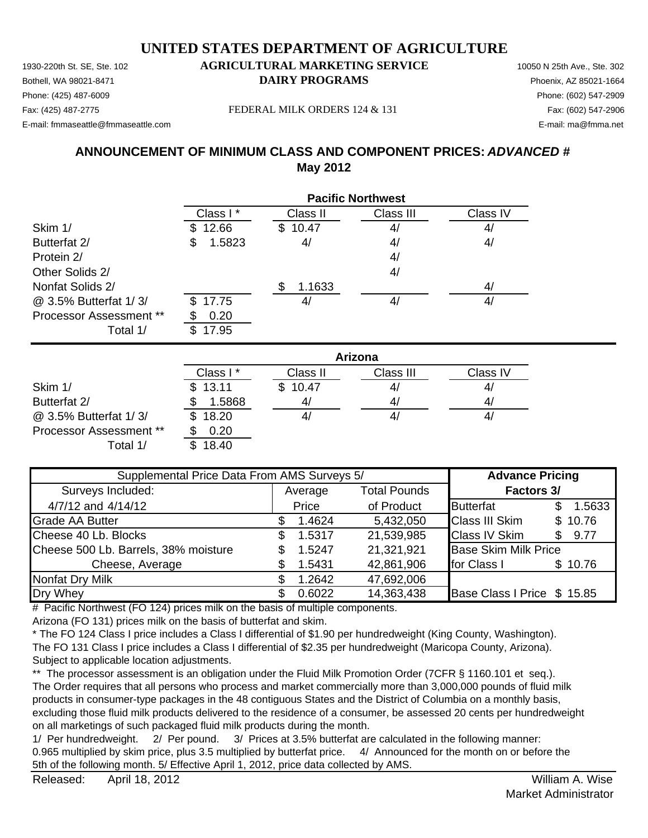# **UNITED STATES DEPARTMENT OF AGRICULTURE**

1930-220th St. SE, Ste. 102 **AGRICULTURAL MARKETING SERVICE** 10050 N 25th Ave., Ste. 302 Bothell, WA 98021-8471 **DAIRY PROGRAMS** Phoenix, AZ 85021-1664 E-mail: fmmaseattle@fmmaseattle.com E-mail: ma@fmma.net

# Phone: (425) 487-6009 Phone: (602) 547-2909

Fax: (425) 487-2775 Fax: (602) 547-2906 FEDERAL MILK ORDERS 124 & 131

## **ANNOUNCEMENT OF MINIMUM CLASS AND COMPONENT PRICES:** *ADVANCED #* **May 2012**

|                         | <b>Pacific Northwest</b> |              |           |          |  |
|-------------------------|--------------------------|--------------|-----------|----------|--|
|                         | Class I*                 | Class II     | Class III | Class IV |  |
| Skim 1/                 | 12.66<br>S               | 10.47<br>\$. | 4/        | 4/       |  |
| Butterfat 2/            | 1.5823<br>\$             | 4/           | 4/        | 4/       |  |
| Protein 2/              |                          |              | 4/        |          |  |
| Other Solids 2/         |                          |              | 4/        |          |  |
| Nonfat Solids 2/        |                          | 1.1633       |           | 4/       |  |
| @ 3.5% Butterfat 1/3/   | 17.75<br>\$.             | 4,           | 4/        | 4        |  |
| Processor Assessment ** | 0.20                     |              |           |          |  |
| Total 1/                | 7.95                     |              |           |          |  |

|                                | Arizona      |                |           |          |  |
|--------------------------------|--------------|----------------|-----------|----------|--|
|                                | Class I*     | Class II       | Class III | Class IV |  |
| Skim 1/                        | \$13.11      | \$10.47        | 41        | 4,       |  |
| Butterfat 2/                   | 1.5868       | 4 <sub>l</sub> | 41        | 4,       |  |
| @ 3.5% Butterfat 1/3/          | 18.20<br>\$. |                | 41        | 4,       |  |
| <b>Processor Assessment **</b> | 0.20         |                |           |          |  |
| Total 1/                       | 18.40        |                |           |          |  |

| Supplemental Price Data From AMS Surveys 5/ |  |         |                     | <b>Advance Pricing</b>      |    |         |
|---------------------------------------------|--|---------|---------------------|-----------------------------|----|---------|
| Surveys Included:                           |  | Average | <b>Total Pounds</b> | Factors 3/                  |    |         |
| 4/7/12 and 4/14/12                          |  | Price   | of Product          | <b>Butterfat</b>            |    | 1.5633  |
| <b>Grade AA Butter</b>                      |  | 1.4624  | 5,432,050           | <b>Class III Skim</b>       |    | \$10.76 |
| Cheese 40 Lb. Blocks                        |  | 1.5317  | 21,539,985          | <b>Class IV Skim</b>        | S. | 9.77    |
| Cheese 500 Lb. Barrels, 38% moisture        |  | 1.5247  | 21,321,921          | <b>Base Skim Milk Price</b> |    |         |
| Cheese, Average                             |  | 1.5431  | 42,861,906          | for Class I                 |    | \$10.76 |
| <b>Nonfat Dry Milk</b>                      |  | 1.2642  | 47,692,006          |                             |    |         |
| Dry Whey                                    |  | 0.6022  | 14,363,438          | Base Class I Price \$ 15.85 |    |         |

# Pacific Northwest (FO 124) prices milk on the basis of multiple components.

Arizona (FO 131) prices milk on the basis of butterfat and skim.

\* The FO 124 Class I price includes a Class I differential of \$1.90 per hundredweight (King County, Washington). The FO 131 Class I price includes a Class I differential of \$2.35 per hundredweight (Maricopa County, Arizona). Subject to applicable location adjustments.

\*\* The processor assessment is an obligation under the Fluid Milk Promotion Order (7CFR § 1160.101 et seq.). The Order requires that all persons who process and market commercially more than 3,000,000 pounds of fluid milk products in consumer-type packages in the 48 contiguous States and the District of Columbia on a monthly basis, excluding those fluid milk products delivered to the residence of a consumer, be assessed 20 cents per hundredweight on all marketings of such packaged fluid milk products during the month.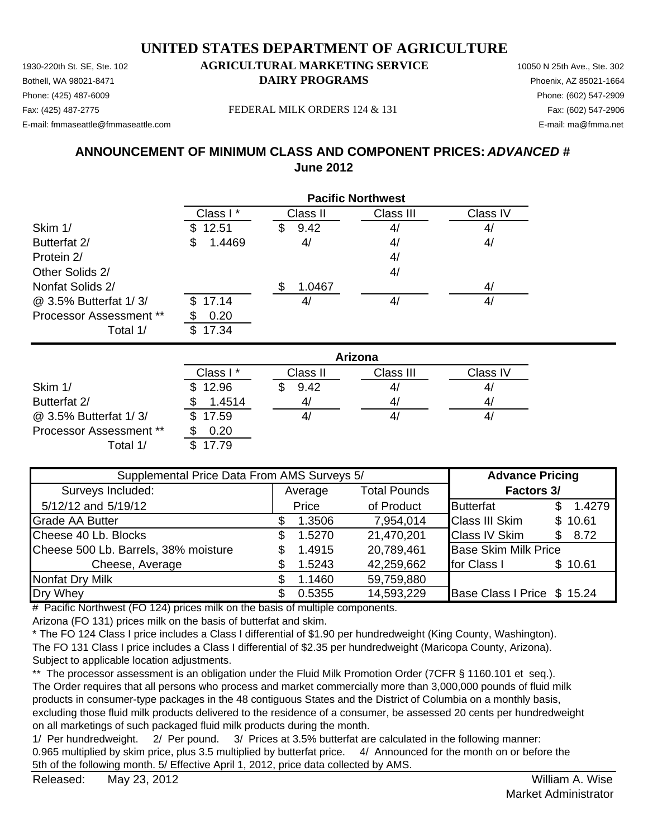Bothell, WA 98021-8471 **DAIRY PROGRAMS** Phoenix, AZ 85021-1664 Phone: (425) 487-6009 Phone: (602) 547-2909 Fax: (425) 487-2775 Fax: (602) 547-2906 FEDERAL MILK ORDERS 124 & 131

E-mail: fmmaseattle@fmmaseattle.com E-mail: ma@fmma.net

## **ANNOUNCEMENT OF MINIMUM CLASS AND COMPONENT PRICES:** *ADVANCED #* **June 2012**

|                                | <b>Pacific Northwest</b> |           |           |          |  |
|--------------------------------|--------------------------|-----------|-----------|----------|--|
|                                | Class I*                 | Class II  | Class III | Class IV |  |
| Skim 1/                        | \$12.51                  | 9.42<br>S | 4/        | 4/       |  |
| Butterfat 2/                   | 1.4469<br>\$             | 4/        | 4/        | 4/       |  |
| Protein 2/                     |                          |           | 4/        |          |  |
| Other Solids 2/                |                          |           | 4/        |          |  |
| Nonfat Solids 2/               |                          | 1.0467    |           | 4/       |  |
| @ 3.5% Butterfat 1/3/          | \$17.14                  | 41        | 4/        | 4/       |  |
| <b>Processor Assessment **</b> | 0.20                     |           |           |          |  |
| Total 1/                       | 17.34                    |           |           |          |  |

|                                | Arizona  |          |           |                |  |
|--------------------------------|----------|----------|-----------|----------------|--|
|                                | Class I* | Class II | Class III | Class IV       |  |
| Skim 1/                        | \$12.96  | 9.42     | 4/        | 4,             |  |
| Butterfat 2/                   | 1.4514   | 41       | 4/        | 4 <sub>l</sub> |  |
| @ 3.5% Butterfat 1/3/          | \$17.59  |          | 4/        | 4/             |  |
| <b>Processor Assessment **</b> | 0.20     |          |           |                |  |
| Total 1/                       | 17.79    |          |           |                |  |

| Supplemental Price Data From AMS Surveys 5/ |     |         |                     | <b>Advance Pricing</b>      |    |         |
|---------------------------------------------|-----|---------|---------------------|-----------------------------|----|---------|
| Surveys Included:                           |     | Average | <b>Total Pounds</b> | <b>Factors 3/</b>           |    |         |
| 5/12/12 and 5/19/12                         |     | Price   | of Product          | <b>Butterfat</b>            |    | 1.4279  |
| <b>Grade AA Butter</b>                      |     | 1.3506  | 7,954,014           | <b>Class III Skim</b>       |    | \$10.61 |
| Cheese 40 Lb. Blocks                        | SS. | 1.5270  | 21,470,201          | <b>Class IV Skim</b>        | \$ | 8.72    |
| Cheese 500 Lb. Barrels, 38% moisture        | \$  | 1.4915  | 20,789,461          | <b>Base Skim Milk Price</b> |    |         |
| Cheese, Average                             |     | 1.5243  | 42,259,662          | for Class I                 |    | \$10.61 |
| Nonfat Dry Milk                             |     | 1.1460  | 59,759,880          |                             |    |         |
| Dry Whey                                    |     | 0.5355  | 14,593,229          | Base Class I Price \$ 15.24 |    |         |

# Pacific Northwest (FO 124) prices milk on the basis of multiple components.

Arizona (FO 131) prices milk on the basis of butterfat and skim.

\* The FO 124 Class I price includes a Class I differential of \$1.90 per hundredweight (King County, Washington). The FO 131 Class I price includes a Class I differential of \$2.35 per hundredweight (Maricopa County, Arizona). Subject to applicable location adjustments.

\*\* The processor assessment is an obligation under the Fluid Milk Promotion Order (7CFR § 1160.101 et seq.). The Order requires that all persons who process and market commercially more than 3,000,000 pounds of fluid milk products in consumer-type packages in the 48 contiguous States and the District of Columbia on a monthly basis, excluding those fluid milk products delivered to the residence of a consumer, be assessed 20 cents per hundredweight on all marketings of such packaged fluid milk products during the month.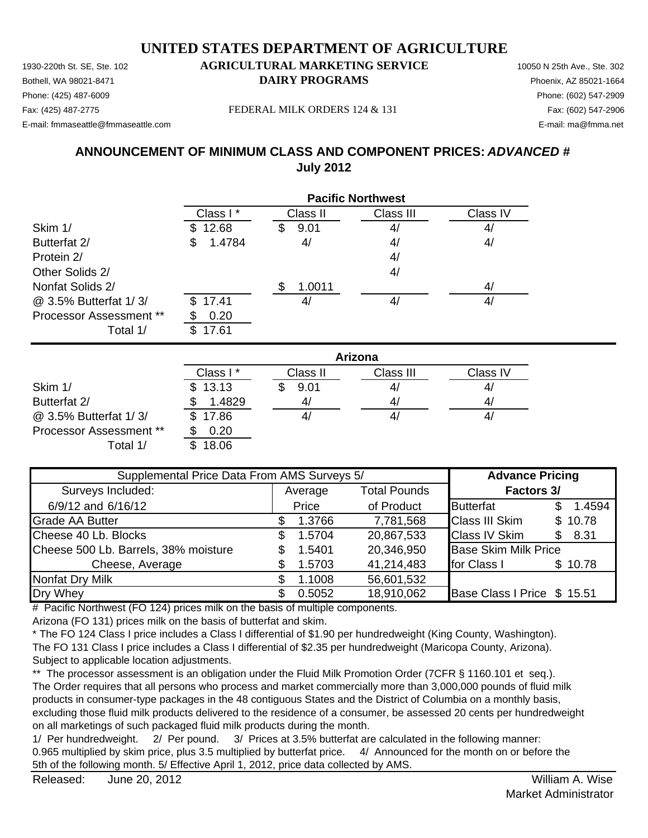Bothell, WA 98021-8471 **DAIRY PROGRAMS** Phoenix, AZ 85021-1664

## Phone: (425) 487-6009 Phone: (602) 547-2909

E-mail: fmmaseattle@fmmaseattle.com E-mail: ma@fmma.net

Fax: (425) 487-2775 Fax: (602) 547-2906 FEDERAL MILK ORDERS 124 & 131

## **ANNOUNCEMENT OF MINIMUM CLASS AND COMPONENT PRICES:** *ADVANCED #* **July 2012**

|                                | <b>Pacific Northwest</b> |           |           |          |  |
|--------------------------------|--------------------------|-----------|-----------|----------|--|
|                                | Class I*                 | Class II  | Class III | Class IV |  |
| Skim 1/                        | 12.68<br>S.              | 9.01<br>S | 4/        | 4/       |  |
| Butterfat 2/                   | 1.4784<br>\$             | 4/        | 4/        | 4/       |  |
| Protein 2/                     |                          |           | 4/        |          |  |
| Other Solids 2/                |                          |           | 4/        |          |  |
| Nonfat Solids 2/               |                          | 1.0011    |           | 4/       |  |
| @ 3.5% Butterfat 1/3/          | \$17.41                  | 4,        | 4/        | 41       |  |
| <b>Processor Assessment **</b> | 0.20                     |           |           |          |  |
| Total 1/                       | 17.61                    |           |           |          |  |

|                                | Arizona  |          |           |                |  |
|--------------------------------|----------|----------|-----------|----------------|--|
|                                | Class I* | Class II | Class III | Class IV       |  |
| Skim 1/                        | \$13.13  | 9.01     | 4/        | 4/             |  |
| Butterfat 2/                   | 1.4829   | 41       | 4/        | 4 <sub>l</sub> |  |
| @ 3.5% Butterfat 1/3/          | \$17.86  |          | 4/        | 4/             |  |
| <b>Processor Assessment **</b> | 0.20     |          |           |                |  |
| Total 1/                       | 18.06    |          |           |                |  |

| Supplemental Price Data From AMS Surveys 5/ |    |         |                     | <b>Advance Pricing</b>      |     |         |
|---------------------------------------------|----|---------|---------------------|-----------------------------|-----|---------|
| Surveys Included:                           |    | Average | <b>Total Pounds</b> | <b>Factors 3/</b>           |     |         |
| 6/9/12 and 6/16/12                          |    | Price   | of Product          | <b>Butterfat</b>            |     | 1.4594  |
| <b>Grade AA Butter</b>                      |    | 1.3766  | 7,781,568           | <b>Class III Skim</b>       |     | \$10.78 |
| Cheese 40 Lb. Blocks                        | £. | 1.5704  | 20,867,533          | <b>Class IV Skim</b>        | \$. | 8.31    |
| Cheese 500 Lb. Barrels, 38% moisture        | S  | 1.5401  | 20,346,950          | <b>Base Skim Milk Price</b> |     |         |
| Cheese, Average                             |    | 1.5703  | 41,214,483          | for Class I                 |     | \$10.78 |
| Nonfat Dry Milk                             |    | 1.1008  | 56,601,532          |                             |     |         |
| Dry Whey                                    |    | 0.5052  | 18,910,062          | Base Class I Price \$ 15.51 |     |         |

# Pacific Northwest (FO 124) prices milk on the basis of multiple components.

Arizona (FO 131) prices milk on the basis of butterfat and skim.

\* The FO 124 Class I price includes a Class I differential of \$1.90 per hundredweight (King County, Washington). The FO 131 Class I price includes a Class I differential of \$2.35 per hundredweight (Maricopa County, Arizona). Subject to applicable location adjustments.

\*\* The processor assessment is an obligation under the Fluid Milk Promotion Order (7CFR § 1160.101 et seq.). The Order requires that all persons who process and market commercially more than 3,000,000 pounds of fluid milk products in consumer-type packages in the 48 contiguous States and the District of Columbia on a monthly basis, excluding those fluid milk products delivered to the residence of a consumer, be assessed 20 cents per hundredweight on all marketings of such packaged fluid milk products during the month.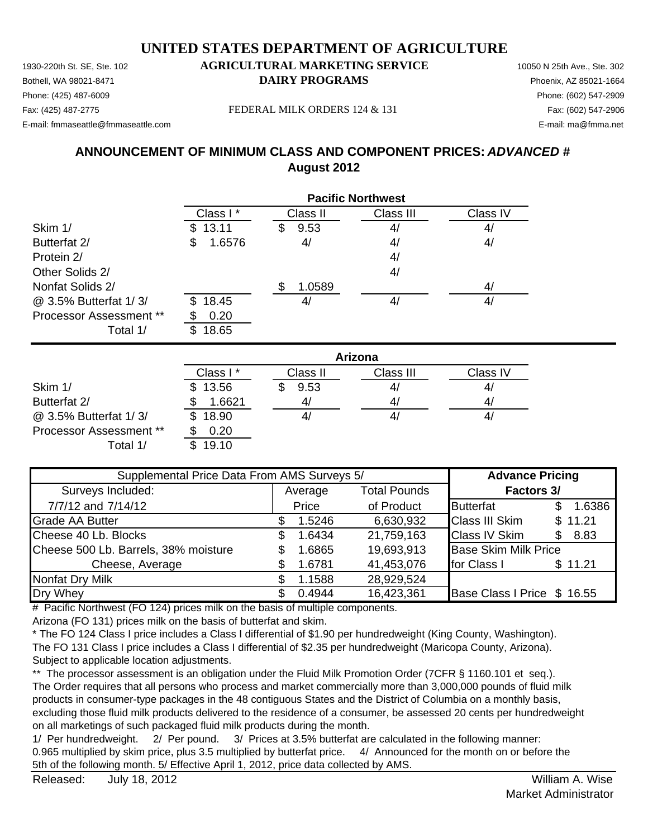Bothell, WA 98021-8471 **DAIRY PROGRAMS** Phoenix, AZ 85021-1664

## Phone: (425) 487-6009 Phone: (602) 547-2909

E-mail: fmmaseattle@fmmaseattle.com E-mail: ma@fmma.net

Fax: (425) 487-2775 Fax: (602) 547-2906 FEDERAL MILK ORDERS 124 & 131

## **ANNOUNCEMENT OF MINIMUM CLASS AND COMPONENT PRICES:** *ADVANCED #* **August 2012**

|                         | <b>Pacific Northwest</b> |           |           |          |  |
|-------------------------|--------------------------|-----------|-----------|----------|--|
|                         | Class I*                 | Class II  | Class III | Class IV |  |
| Skim 1/                 | 13.11<br>\$.             | 9.53<br>S | 4/        | 4/       |  |
| Butterfat 2/            | 1.6576<br>\$             | 4/        | 4/        | 4/       |  |
| Protein 2/              |                          |           | 4/        |          |  |
| Other Solids 2/         |                          |           | 4/        |          |  |
| Nonfat Solids 2/        |                          | 1.0589    |           | 4/       |  |
| @ 3.5% Butterfat 1/3/   | 18.45<br>\$.             | 4         | 4/        | 41       |  |
| Processor Assessment ** | 0.20                     |           |           |          |  |
| Total 1/                | 18.65                    |           |           |          |  |

|                                | Arizona     |          |           |                |  |
|--------------------------------|-------------|----------|-----------|----------------|--|
|                                | Class I*    | Class II | Class III | Class IV       |  |
| Skim 1/                        | 13.56       | 9.53     | 4/        | 4/             |  |
| Butterfat 2/                   | 1.6621      | 41       | 4/        | 4 <sub>l</sub> |  |
| @ 3.5% Butterfat 1/3/          | 18.90<br>S. |          | 4/        | 4/             |  |
| <b>Processor Assessment **</b> | 0.20        |          |           |                |  |
| Total 1/                       | 19.10       |          |           |                |  |

| Supplemental Price Data From AMS Surveys 5/ |                                |        |            | <b>Advance Pricing</b>      |             |  |                   |
|---------------------------------------------|--------------------------------|--------|------------|-----------------------------|-------------|--|-------------------|
| Surveys Included:                           | <b>Total Pounds</b><br>Average |        |            |                             |             |  | <b>Factors 3/</b> |
| 7/7/12 and 7/14/12                          |                                | Price  | of Product | <b>Butterfat</b>            | 1.6386      |  |                   |
| <b>Grade AA Butter</b>                      |                                | 1.5246 | 6,630,932  | <b>Class III Skim</b>       | \$11.21     |  |                   |
| Cheese 40 Lb. Blocks                        |                                | 1.6434 | 21,759,163 | <b>Class IV Skim</b>        | 8.83<br>\$. |  |                   |
| Cheese 500 Lb. Barrels, 38% moisture        |                                | 1.6865 | 19,693,913 | <b>Base Skim Milk Price</b> |             |  |                   |
| Cheese, Average                             |                                | 1.6781 | 41,453,076 | for Class I                 | \$11.21     |  |                   |
| <b>Nonfat Dry Milk</b>                      |                                | 1.1588 | 28,929,524 |                             |             |  |                   |
| Dry Whey                                    |                                | 0.4944 | 16,423,361 | Base Class I Price \$ 16.55 |             |  |                   |

# Pacific Northwest (FO 124) prices milk on the basis of multiple components.

Arizona (FO 131) prices milk on the basis of butterfat and skim.

\* The FO 124 Class I price includes a Class I differential of \$1.90 per hundredweight (King County, Washington). The FO 131 Class I price includes a Class I differential of \$2.35 per hundredweight (Maricopa County, Arizona). Subject to applicable location adjustments.

\*\* The processor assessment is an obligation under the Fluid Milk Promotion Order (7CFR § 1160.101 et seq.). The Order requires that all persons who process and market commercially more than 3,000,000 pounds of fluid milk products in consumer-type packages in the 48 contiguous States and the District of Columbia on a monthly basis, excluding those fluid milk products delivered to the residence of a consumer, be assessed 20 cents per hundredweight on all marketings of such packaged fluid milk products during the month.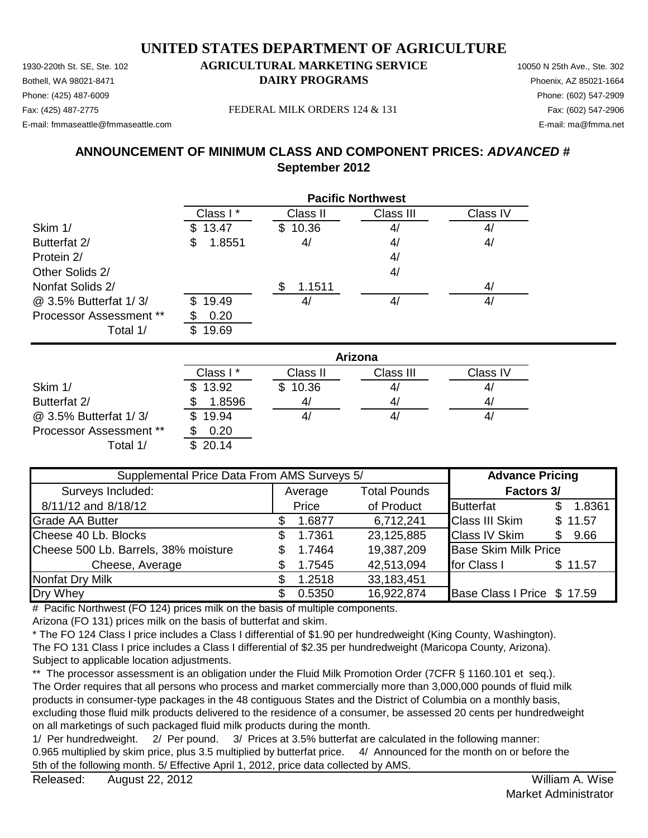Bothell, WA 98021-8471 **DAIRY PROGRAMS** Phoenix, AZ 85021-1664 E-mail: fmmaseattle@fmmaseattle.com E-mail: ma@fmma.net

## Phone: (425) 487-6009 Phone: (602) 547-2909

Fax: (425) 487-2775 Fax: (602) 547-2906 FEDERAL MILK ORDERS 124 & 131

## **ANNOUNCEMENT OF MINIMUM CLASS AND COMPONENT PRICES:** *ADVANCED #* **September 2012**

|                                | <b>Pacific Northwest</b> |          |           |          |  |
|--------------------------------|--------------------------|----------|-----------|----------|--|
|                                | Class I*                 | Class II | Class III | Class IV |  |
| Skim 1/                        | 13.47                    | \$10.36  | 4/        | 4/       |  |
| Butterfat 2/                   | 1.8551<br>S              | 4/       | 4/        | 4/       |  |
| Protein 2/                     |                          |          | 4/        |          |  |
| Other Solids 2/                |                          |          | 4/        |          |  |
| Nonfat Solids 2/               |                          | 1.1511   |           | 4/       |  |
| @ 3.5% Butterfat 1/3/          | 19.49<br>\$.             | 4,       | 4/        | 4/       |  |
| <b>Processor Assessment **</b> | 0.20                     |          |           |          |  |
| Total 1/                       | 19.69                    |          |           |          |  |

|                                | Arizona  |          |           |          |  |
|--------------------------------|----------|----------|-----------|----------|--|
|                                | Class I* | Class II | Class III | Class IV |  |
| Skim 1/                        | \$13.92  | \$10.36  | 4/        | 4/       |  |
| Butterfat 2/                   | 1.8596   | 41       | 4/        | 4/       |  |
| @ 3.5% Butterfat 1/3/          | 19.94    |          | 4/        | 4/       |  |
| <b>Processor Assessment **</b> | 0.20     |          |           |          |  |
| Total 1/                       | 20.14    |          |           |          |  |

| Supplemental Price Data From AMS Surveys 5/ | <b>Advance Pricing</b> |        |                     |                             |             |
|---------------------------------------------|------------------------|--------|---------------------|-----------------------------|-------------|
| Surveys Included:                           | Average                |        | <b>Total Pounds</b> | Factors 3/                  |             |
| 8/11/12 and 8/18/12                         |                        | Price  | of Product          | <b>Butterfat</b>            | 1.8361      |
| <b>Grade AA Butter</b>                      |                        | 1.6877 | 6,712,241           | <b>Class III Skim</b>       | \$11.57     |
| Cheese 40 Lb. Blocks                        | S.                     | 1.7361 | 23,125,885          | <b>Class IV Skim</b>        | 9.66<br>\$. |
| Cheese 500 Lb. Barrels, 38% moisture        |                        | 1.7464 | 19,387,209          | <b>Base Skim Milk Price</b> |             |
| Cheese, Average                             |                        | 1.7545 | 42,513,094          | for Class I                 | \$11.57     |
| Nonfat Dry Milk                             |                        | 1.2518 | 33,183,451          |                             |             |
| Dry Whey                                    |                        | 0.5350 | 16,922,874          | Base Class I Price \$ 17.59 |             |

# Pacific Northwest (FO 124) prices milk on the basis of multiple components.

Arizona (FO 131) prices milk on the basis of butterfat and skim.

\* The FO 124 Class I price includes a Class I differential of \$1.90 per hundredweight (King County, Washington). The FO 131 Class I price includes a Class I differential of \$2.35 per hundredweight (Maricopa County, Arizona). Subject to applicable location adjustments.

\*\* The processor assessment is an obligation under the Fluid Milk Promotion Order (7CFR § 1160.101 et seq.). The Order requires that all persons who process and market commercially more than 3,000,000 pounds of fluid milk products in consumer-type packages in the 48 contiguous States and the District of Columbia on a monthly basis, excluding those fluid milk products delivered to the residence of a consumer, be assessed 20 cents per hundredweight on all marketings of such packaged fluid milk products during the month.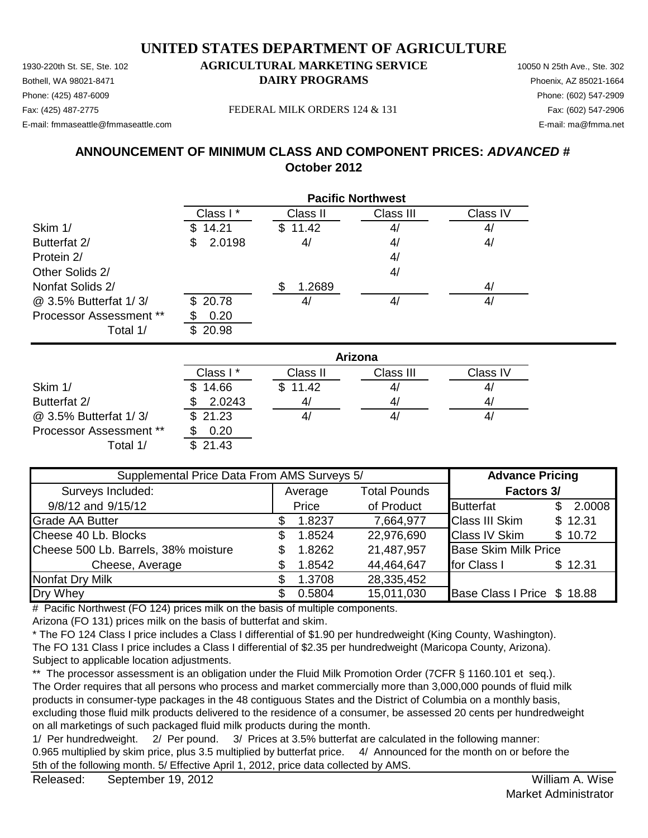# **UNITED STATES DEPARTMENT OF AGRICULTURE**

1930-220th St. SE, Ste. 102 **AGRICULTURAL MARKETING SERVICE** 10050 N 25th Ave., Ste. 302 Bothell, WA 98021-8471 **DAIRY PROGRAMS** Phoenix, AZ 85021-1664

## Phone: (425) 487-6009 Phone: (602) 547-2909

E-mail: fmmaseattle@fmmaseattle.com E-mail: ma@fmma.net

Fax: (425) 487-2775 Fax: (602) 547-2906 FEDERAL MILK ORDERS 124 & 131

## **ANNOUNCEMENT OF MINIMUM CLASS AND COMPONENT PRICES:** *ADVANCED #* **October 2012**

|                                | <b>Pacific Northwest</b> |          |           |          |  |
|--------------------------------|--------------------------|----------|-----------|----------|--|
|                                | Class I*                 | Class II | Class III | Class IV |  |
| Skim 1/                        | 14.21                    | \$11.42  | 4/        | 4/       |  |
| Butterfat 2/                   | 2.0198<br>S              | 4/       | 4/        | 4/       |  |
| Protein 2/                     |                          |          | 4/        |          |  |
| Other Solids 2/                |                          |          | 4/        |          |  |
| Nonfat Solids 2/               |                          | 1.2689   |           | 4/       |  |
| @ 3.5% Butterfat 1/3/          | \$20.78                  | 41       | 4/        | 4/       |  |
| <b>Processor Assessment **</b> | 0.20                     |          |           |          |  |
| Total 1/                       | 20.98                    |          |           |          |  |

|                         | Arizona  |          |           |          |  |
|-------------------------|----------|----------|-----------|----------|--|
|                         | Class I* | Class II | Class III | Class IV |  |
| Skim 1/                 | 14.66    | \$11.42  | 4,        | 47       |  |
| Butterfat 2/            | 2.0243   | 4/       | 4/        | 41       |  |
| @ 3.5% Butterfat 1/3/   | \$21.23  | 4/       | 41        | 4/       |  |
| Processor Assessment ** | 0.20     |          |           |          |  |
| Total 1/                | 21.43    |          |           |          |  |

| Supplemental Price Data From AMS Surveys 5/ | <b>Advance Pricing</b> |        |                     |                             |     |         |
|---------------------------------------------|------------------------|--------|---------------------|-----------------------------|-----|---------|
| Surveys Included:                           | Average                |        | <b>Total Pounds</b> | <b>Factors 3/</b>           |     |         |
| 9/8/12 and 9/15/12                          |                        | Price  | of Product          | <b>Butterfat</b>            | \$. | 2.0008  |
| <b>Grade AA Butter</b>                      |                        | 1.8237 | 7,664,977           | <b>Class III Skim</b>       |     | \$12.31 |
| Cheese 40 Lb. Blocks                        | S                      | 1.8524 | 22,976,690          | <b>Class IV Skim</b>        |     | \$10.72 |
| Cheese 500 Lb. Barrels, 38% moisture        |                        | 1.8262 | 21,487,957          | <b>Base Skim Milk Price</b> |     |         |
| Cheese, Average                             |                        | 1.8542 | 44,464,647          | for Class I                 |     | \$12.31 |
| Nonfat Dry Milk                             |                        | 1.3708 | 28,335,452          |                             |     |         |
| Dry Whey                                    |                        | 0.5804 | 15,011,030          | Base Class I Price \$ 18.88 |     |         |

# Pacific Northwest (FO 124) prices milk on the basis of multiple components.

Arizona (FO 131) prices milk on the basis of butterfat and skim.

\* The FO 124 Class I price includes a Class I differential of \$1.90 per hundredweight (King County, Washington). The FO 131 Class I price includes a Class I differential of \$2.35 per hundredweight (Maricopa County, Arizona). Subject to applicable location adjustments.

\*\* The processor assessment is an obligation under the Fluid Milk Promotion Order (7CFR § 1160.101 et seq.). The Order requires that all persons who process and market commercially more than 3,000,000 pounds of fluid milk products in consumer-type packages in the 48 contiguous States and the District of Columbia on a monthly basis, excluding those fluid milk products delivered to the residence of a consumer, be assessed 20 cents per hundredweight on all marketings of such packaged fluid milk products during the month.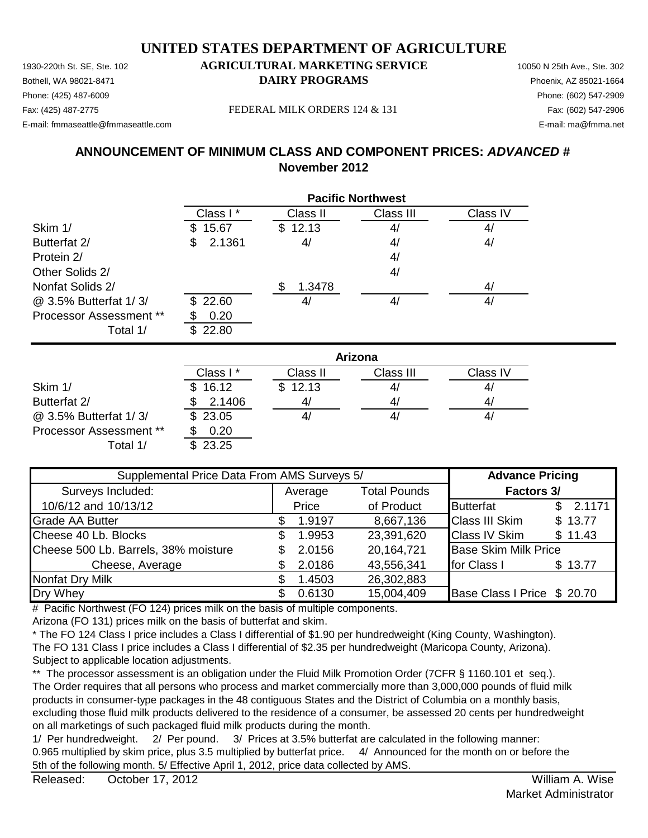Bothell, WA 98021-8471 **DAIRY PROGRAMS** Phoenix, AZ 85021-1664

## Phone: (425) 487-6009 Phone: (602) 547-2909

E-mail: fmmaseattle@fmmaseattle.com E-mail: ma@fmma.net

Fax: (425) 487-2775 Fax: (602) 547-2906 FEDERAL MILK ORDERS 124 & 131

## **ANNOUNCEMENT OF MINIMUM CLASS AND COMPONENT PRICES:** *ADVANCED #* **November 2012**

|                                | <b>Pacific Northwest</b> |          |           |          |  |
|--------------------------------|--------------------------|----------|-----------|----------|--|
|                                | Class I*                 | Class II | Class III | Class IV |  |
| Skim 1/                        | 15.67                    | \$12.13  | 4/        | 4/       |  |
| Butterfat 2/                   | 2.1361<br>S              | 4/       | 4/        | 4/       |  |
| Protein 2/                     |                          |          | 4/        |          |  |
| Other Solids 2/                |                          |          | 4/        |          |  |
| Nonfat Solids 2/               |                          | 1.3478   |           | 4/       |  |
| @ 3.5% Butterfat 1/3/          | \$22.60                  | 41       | 4/        | 4/       |  |
| <b>Processor Assessment **</b> | 0.20                     |          |           |          |  |
| Total 1/                       | 22.80<br>£.              |          |           |          |  |

|                                | Arizona  |          |           |          |  |
|--------------------------------|----------|----------|-----------|----------|--|
|                                | Class I* | Class II | Class III | Class IV |  |
| Skim 1/                        | \$16.12  | \$12.13  | 41        | 41       |  |
| Butterfat 2/                   | 2.1406   | 41       | 41        | 4/       |  |
| @ 3.5% Butterfat 1/3/          | \$23.05  |          | 4/        | 41       |  |
| <b>Processor Assessment **</b> | 0.20     |          |           |          |  |
| Total 1/                       | 23.25    |          |           |          |  |

| Supplemental Price Data From AMS Surveys 5/ | <b>Advance Pricing</b> |        |                     |                             |              |
|---------------------------------------------|------------------------|--------|---------------------|-----------------------------|--------------|
| Surveys Included:                           | Average                |        | <b>Total Pounds</b> | <b>Factors 3/</b>           |              |
| 10/6/12 and 10/13/12                        |                        | Price  | of Product          | <b>Butterfat</b>            | 2.1171<br>\$ |
| <b>Grade AA Butter</b>                      |                        | 1.9197 | 8,667,136           | <b>Class III Skim</b>       | \$13.77      |
| Cheese 40 Lb. Blocks                        | S.                     | 1.9953 | 23,391,620          | <b>Class IV Skim</b>        | \$11.43      |
| Cheese 500 Lb. Barrels, 38% moisture        |                        | 2.0156 | 20,164,721          | <b>Base Skim Milk Price</b> |              |
| Cheese, Average                             |                        | 2.0186 | 43,556,341          | for Class I                 | \$13.77      |
| Nonfat Dry Milk                             |                        | 1.4503 | 26,302,883          |                             |              |
| Dry Whey                                    |                        | 0.6130 | 15,004,409          | Base Class I Price \$ 20.70 |              |

# Pacific Northwest (FO 124) prices milk on the basis of multiple components.

Arizona (FO 131) prices milk on the basis of butterfat and skim.

\* The FO 124 Class I price includes a Class I differential of \$1.90 per hundredweight (King County, Washington). The FO 131 Class I price includes a Class I differential of \$2.35 per hundredweight (Maricopa County, Arizona). Subject to applicable location adjustments.

\*\* The processor assessment is an obligation under the Fluid Milk Promotion Order (7CFR § 1160.101 et seq.). The Order requires that all persons who process and market commercially more than 3,000,000 pounds of fluid milk products in consumer-type packages in the 48 contiguous States and the District of Columbia on a monthly basis, excluding those fluid milk products delivered to the residence of a consumer, be assessed 20 cents per hundredweight on all marketings of such packaged fluid milk products during the month.